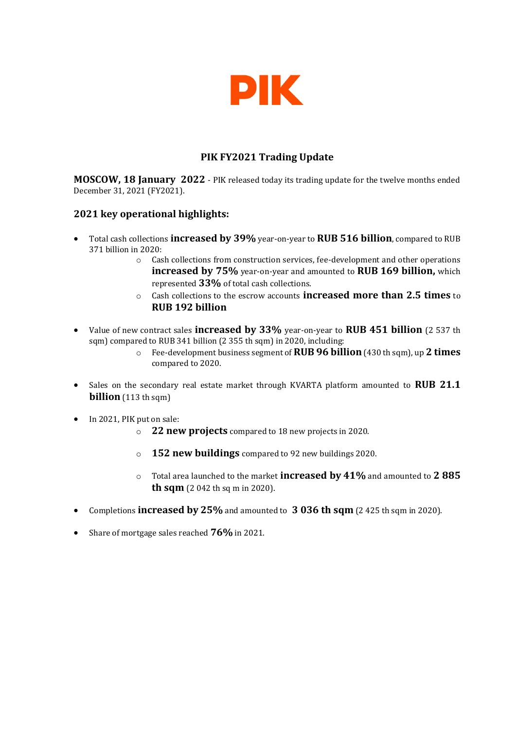

# **PIK FY2021 Trading Update**

**MOSCOW, 18 January 2022** - PIK released today its trading update for the twelve months ended December 31, 2021 (FY2021).

### **2021 key operational highlights:**

- Total cash collections **increased by 39%** year-on-year to **RUB 516 billion**, compared to RUB 371 billion in 2020:
	- $\circ$  Cash collections from construction services, fee-development and other operations **increased by 75%** year-on-year and amounted to **RUB 169 billion,** which represented **33%** of total cash collections.
	- o Cash collections to the escrow accounts **increased more than 2.5 times** to **RUB 192 billion**
- Value of new contract sales **increased by 33%** year-on-year to **RUB 451 billion** (2 537 th sqm) compared to RUB 341 billion (2 355 th sqm) in 2020, including:
	- o Fee-development business segment of **RUB 96 billion** (430 th sqm), up **2 times** compared to 2020.
- Sales on the secondary real estate market through KVARTA platform amounted to **RUB 21.1 billion** (113 th sqm)
- In 2021, PIK put on sale:
	- o **22 new projects** compared to 18 new projects in 2020.
	- o **152 new buildings** compared to 92 new buildings 2020.
	- o Total area launched to the market **increased by 41%** and amounted to **2 885 th sqm** (2 042 th sq m in 2020).
- Completions **increased by 25%** and amounted to **3 036 th sqm** (2 425 th sqm in 2020).
- Share of mortgage sales reached **76%** in 2021.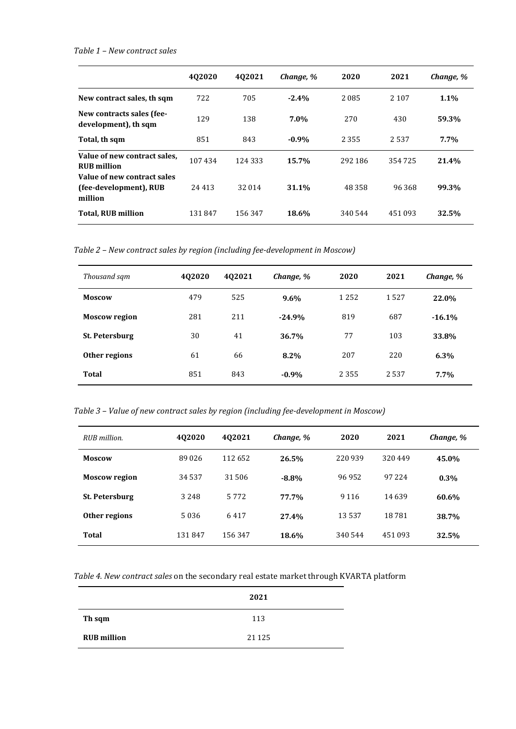#### *Table 1 – New contract sales*

|                                                                  | 402020  | 402021  | Change, % | 2020    | 2021    | Change, % |
|------------------------------------------------------------------|---------|---------|-----------|---------|---------|-----------|
| New contract sales, th sqm                                       | 722     | 705     | $-2.4%$   | 2085    | 2 1 0 7 | $1.1\%$   |
| New contracts sales (fee-<br>development), th sqm                | 129     | 138     | 7.0%      | 270     | 430     | 59.3%     |
| Total, th sqm                                                    | 851     | 843     | $-0.9%$   | 2 3 5 5 | 2.537   | 7.7%      |
| Value of new contract sales,<br><b>RUB</b> million               | 107434  | 124 333 | 15.7%     | 292 186 | 354725  | 21.4%     |
| Value of new contract sales<br>(fee-development), RUB<br>million | 24 4 13 | 32 014  | 31.1%     | 48 358  | 96368   | 99.3%     |
| <b>Total, RUB million</b>                                        | 131847  | 156347  | 18.6%     | 340 544 | 451 093 | 32.5%     |

*Table 2 – New contract sales by region (including fee-development in Moscow)*

| Thousand sqm         | 402020 | 402021 | Change, % | 2020    | 2021 | Change, % |
|----------------------|--------|--------|-----------|---------|------|-----------|
| <b>Moscow</b>        | 479    | 525    | $9.6\%$   | 1 2 5 2 | 1527 | 22.0%     |
| <b>Moscow region</b> | 281    | 211    | $-24.9%$  | 819     | 687  | $-16.1%$  |
| St. Petersburg       | 30     | 41     | 36.7%     | 77      | 103  | 33.8%     |
| Other regions        | 61     | 66     | $8.2\%$   | 207     | 220  | 6.3%      |
| Total                | 851    | 843    | $-0.9%$   | 2 3 5 5 | 2537 | 7.7%      |

*Table 3 – Value of new contract sales by region (including fee-development in Moscow)*

| RUB million.          | 402020  | 402021  | Change, % | 2020    | 2021    | Change, % |
|-----------------------|---------|---------|-----------|---------|---------|-----------|
| <b>Moscow</b>         | 89026   | 112652  | 26.5%     | 220 939 | 320449  | 45.0%     |
| <b>Moscow region</b>  | 34 537  | 31 506  | $-8.8%$   | 96952   | 97 224  | $0.3\%$   |
| <b>St. Petersburg</b> | 3 2 4 8 | 5 7 7 2 | 77.7%     | 9 1 1 6 | 14639   | 60.6%     |
| Other regions         | 5036    | 6417    | 27.4%     | 13537   | 18781   | 38.7%     |
| Total                 | 131847  | 156347  | 18.6%     | 340 544 | 451 093 | 32.5%     |

*Table 4. New contract sales* on the secondary real estate market through KVARTA platform

|                    | 2021    |  |
|--------------------|---------|--|
| Th sqm             | 113     |  |
| <b>RUB</b> million | 21 1 25 |  |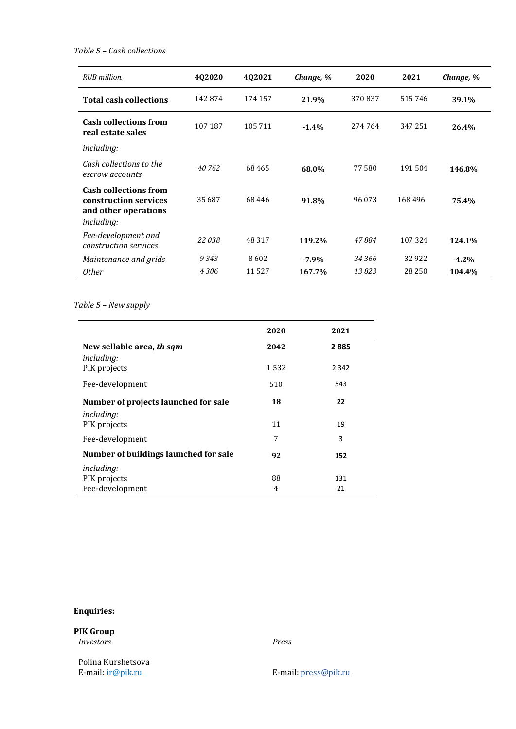### *Table 5 – Cash collections*

| RUB million.                                                                                       | 402020  | 402021   | Change, % | 2020    | 2021    | Change, % |
|----------------------------------------------------------------------------------------------------|---------|----------|-----------|---------|---------|-----------|
| <b>Total cash collections</b>                                                                      | 142874  | 174 157  | 21.9%     | 370837  | 515746  | 39.1%     |
| <b>Cash collections from</b><br>real estate sales                                                  | 107 187 | 105 711  | $-1.4%$   | 274 764 | 347 251 | 26.4%     |
| including:                                                                                         |         |          |           |         |         |           |
| Cash collections to the<br>escrow accounts                                                         | 40762   | 68465    | 68.0%     | 77580   | 191504  | 146.8%    |
| <b>Cash collections from</b><br>construction services<br>and other operations<br><i>including:</i> | 35 687  | 68446    | 91.8%     | 96 073  | 168496  | 75.4%     |
| Fee-development and<br>construction services                                                       | 22038   | 48 3 1 7 | 119.2%    | 47884   | 107324  | 124.1%    |
| Maintenance and grids                                                                              | 9343    | 8602     | $-7.9\%$  | 34 366  | 32922   | $-4.2%$   |
| <i>Other</i>                                                                                       | 4306    | 11527    | 167.7%    | 13823   | 28 250  | 104.4%    |

# *Table 5 – New supply*

|                                       | 2020 | 2021    |
|---------------------------------------|------|---------|
| New sellable area, th sqm             | 2042 | 2885    |
| <i>including:</i>                     |      |         |
| PIK projects                          | 1532 | 2 3 4 2 |
| Fee-development                       | 510  | 543     |
| Number of projects launched for sale  | 18   | 22      |
| <i>including:</i>                     |      |         |
| PIK projects                          | 11   | 19      |
| Fee-development                       | 7    | 3       |
| Number of buildings launched for sale | 92   | 152     |
| <i>including:</i>                     |      |         |
| PIK projects                          | 88   | 131     |
| Fee-development                       | 4    | 21      |

## **Enquiries:**

**PIK Group** 

*Investors Press*

Polina Kurshetsova<br>E-mail: **ir@pik.ru** 

E-mail[: press@pik.ru](mailto:press@pik.ru)